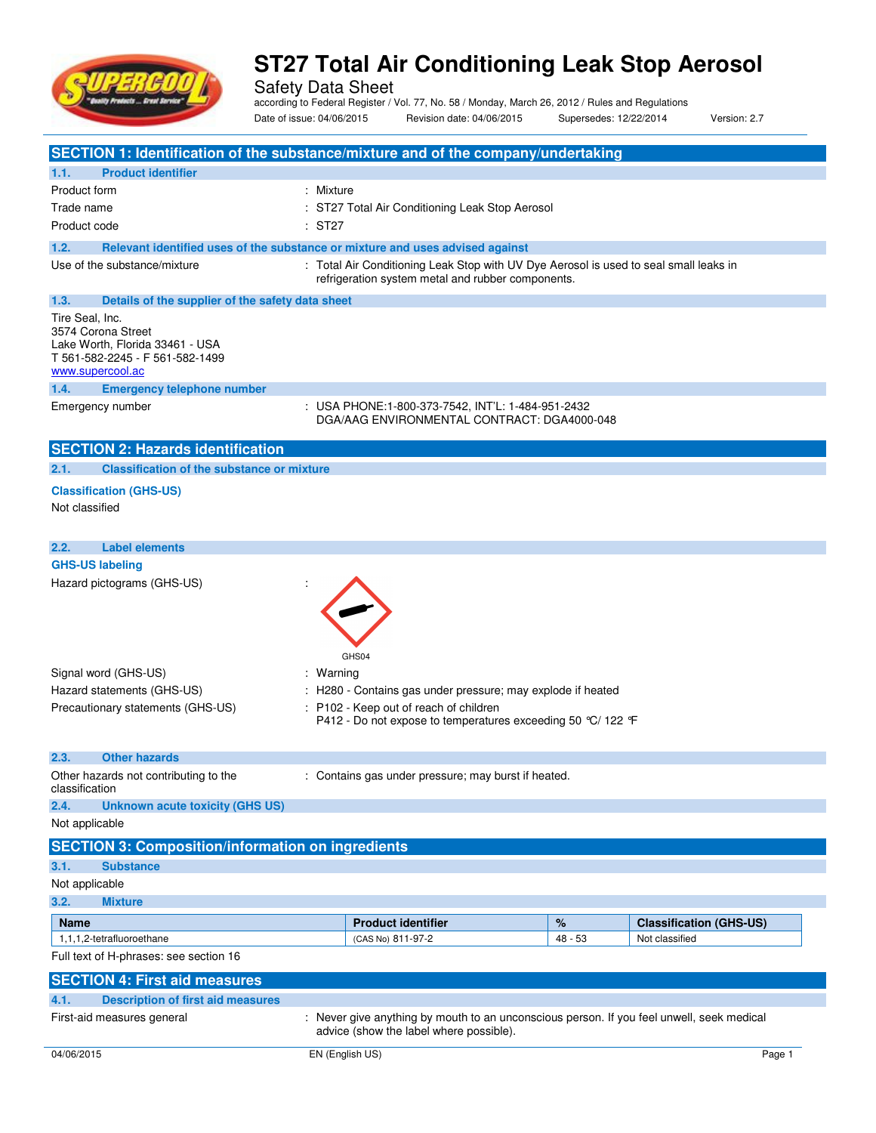

Safety Data Sheet according to Federal Register / Vol. 77, No. 58 / Monday, March 26, 2012 / Rules and Regulations Date of issue: 04/06/2015 Revision date: 04/06/2015 Supersedes: 12/22/2014 Version: 2.7

| SECTION 1: Identification of the substance/mixture and of the company/undertaking                                               |                                                                                                                                                                                            |           |                                |
|---------------------------------------------------------------------------------------------------------------------------------|--------------------------------------------------------------------------------------------------------------------------------------------------------------------------------------------|-----------|--------------------------------|
| <b>Product identifier</b><br>1.1.                                                                                               |                                                                                                                                                                                            |           |                                |
| Product form                                                                                                                    | : Mixture                                                                                                                                                                                  |           |                                |
| Trade name                                                                                                                      | : ST27 Total Air Conditioning Leak Stop Aerosol                                                                                                                                            |           |                                |
| Product code                                                                                                                    | : ST27                                                                                                                                                                                     |           |                                |
| 1.2.                                                                                                                            | Relevant identified uses of the substance or mixture and uses advised against                                                                                                              |           |                                |
| Use of the substance/mixture                                                                                                    | : Total Air Conditioning Leak Stop with UV Dye Aerosol is used to seal small leaks in<br>refrigeration system metal and rubber components.                                                 |           |                                |
| 1.3.<br>Details of the supplier of the safety data sheet                                                                        |                                                                                                                                                                                            |           |                                |
| Tire Seal, Inc.<br>3574 Corona Street<br>Lake Worth, Florida 33461 - USA<br>T 561-582-2245 - F 561-582-1499<br>www.supercool.ac |                                                                                                                                                                                            |           |                                |
| 1.4.<br><b>Emergency telephone number</b>                                                                                       |                                                                                                                                                                                            |           |                                |
| Emergency number                                                                                                                | : USA PHONE:1-800-373-7542, INT'L: 1-484-951-2432<br>DGA/AAG ENVIRONMENTAL CONTRACT: DGA4000-048                                                                                           |           |                                |
| <b>SECTION 2: Hazards identification</b>                                                                                        |                                                                                                                                                                                            |           |                                |
| <b>Classification of the substance or mixture</b><br>2.1.                                                                       |                                                                                                                                                                                            |           |                                |
| <b>Classification (GHS-US)</b>                                                                                                  |                                                                                                                                                                                            |           |                                |
| Not classified                                                                                                                  |                                                                                                                                                                                            |           |                                |
|                                                                                                                                 |                                                                                                                                                                                            |           |                                |
| 2.2.<br><b>Label elements</b>                                                                                                   |                                                                                                                                                                                            |           |                                |
| <b>GHS-US labeling</b>                                                                                                          |                                                                                                                                                                                            |           |                                |
| Hazard pictograms (GHS-US)                                                                                                      |                                                                                                                                                                                            |           |                                |
| Signal word (GHS-US)<br>Hazard statements (GHS-US)<br>Precautionary statements (GHS-US)                                         | GHS04<br>: Warning<br>: H280 - Contains gas under pressure; may explode if heated<br>: P102 - Keep out of reach of children<br>P412 - Do not expose to temperatures exceeding 50 ℃/ 122 °F |           |                                |
| 2.3.<br><b>Other hazards</b>                                                                                                    |                                                                                                                                                                                            |           |                                |
| Other hazards not contributing to the<br>classification                                                                         | : Contains gas under pressure; may burst if heated.                                                                                                                                        |           |                                |
| 2.4.<br><b>Unknown acute toxicity (GHS US)</b>                                                                                  |                                                                                                                                                                                            |           |                                |
| Not applicable                                                                                                                  |                                                                                                                                                                                            |           |                                |
| <b>SECTION 3: Composition/information on ingredients</b>                                                                        |                                                                                                                                                                                            |           |                                |
| 3.1.<br><b>Substance</b>                                                                                                        |                                                                                                                                                                                            |           |                                |
| Not applicable                                                                                                                  |                                                                                                                                                                                            |           |                                |
| 3.2.<br><b>Mixture</b>                                                                                                          |                                                                                                                                                                                            |           |                                |
| <b>Name</b>                                                                                                                     | <b>Product identifier</b>                                                                                                                                                                  | %         | <b>Classification (GHS-US)</b> |
| 1.1.1.2-tetrafluoroethane                                                                                                       | (CAS No) 811-97-2                                                                                                                                                                          | $48 - 53$ | Not classified                 |
| Full text of H-phrases: see section 16                                                                                          |                                                                                                                                                                                            |           |                                |
| <b>SECTION 4: First aid measures</b>                                                                                            |                                                                                                                                                                                            |           |                                |
| <b>Description of first aid measures</b><br>4.1.                                                                                |                                                                                                                                                                                            |           |                                |
| First-aid measures general                                                                                                      | : Never give anything by mouth to an unconscious person. If you feel unwell, seek medical<br>advice (show the label where possible).                                                       |           |                                |
| 04/06/2015                                                                                                                      | EN (English US)                                                                                                                                                                            |           | Page 1                         |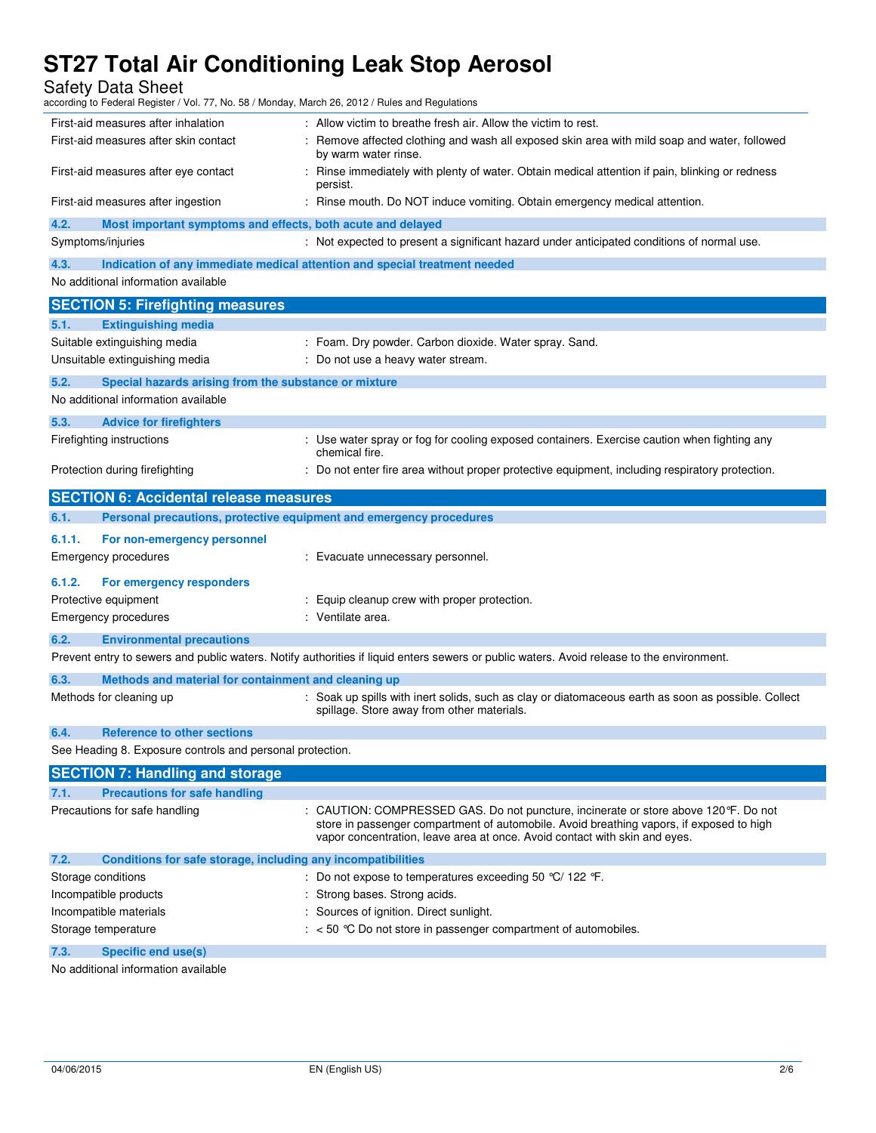Safety Data Sheet

| according to Federal Register / Vol. 77, No. 58 / Monday, March 26, 2012 / Rules and Regulations        |                                                                                                                                                                                                                                                               |
|---------------------------------------------------------------------------------------------------------|---------------------------------------------------------------------------------------------------------------------------------------------------------------------------------------------------------------------------------------------------------------|
| First-aid measures after inhalation                                                                     | : Allow victim to breathe fresh air. Allow the victim to rest.                                                                                                                                                                                                |
| First-aid measures after skin contact                                                                   | Remove affected clothing and wash all exposed skin area with mild soap and water, followed<br>by warm water rinse.                                                                                                                                            |
| First-aid measures after eye contact                                                                    | : Rinse immediately with plenty of water. Obtain medical attention if pain, blinking or redness<br>persist.                                                                                                                                                   |
| First-aid measures after ingestion                                                                      | : Rinse mouth. Do NOT induce vomiting. Obtain emergency medical attention.                                                                                                                                                                                    |
| 4.2.<br>Most important symptoms and effects, both acute and delayed                                     |                                                                                                                                                                                                                                                               |
| Symptoms/injuries                                                                                       | : Not expected to present a significant hazard under anticipated conditions of normal use.                                                                                                                                                                    |
| 4.3.                                                                                                    | Indication of any immediate medical attention and special treatment needed                                                                                                                                                                                    |
| No additional information available                                                                     |                                                                                                                                                                                                                                                               |
| <b>SECTION 5: Firefighting measures</b>                                                                 |                                                                                                                                                                                                                                                               |
| 5.1.<br><b>Extinguishing media</b>                                                                      |                                                                                                                                                                                                                                                               |
| Suitable extinguishing media                                                                            | : Foam. Dry powder. Carbon dioxide. Water spray. Sand.                                                                                                                                                                                                        |
| Unsuitable extinguishing media                                                                          | : Do not use a heavy water stream.                                                                                                                                                                                                                            |
| 5.2.                                                                                                    |                                                                                                                                                                                                                                                               |
| Special hazards arising from the substance or mixture<br>No additional information available            |                                                                                                                                                                                                                                                               |
|                                                                                                         |                                                                                                                                                                                                                                                               |
| 5.3.<br><b>Advice for firefighters</b>                                                                  |                                                                                                                                                                                                                                                               |
| Firefighting instructions                                                                               | : Use water spray or fog for cooling exposed containers. Exercise caution when fighting any<br>chemical fire.                                                                                                                                                 |
| Protection during firefighting                                                                          | : Do not enter fire area without proper protective equipment, including respiratory protection.                                                                                                                                                               |
| <b>SECTION 6: Accidental release measures</b>                                                           |                                                                                                                                                                                                                                                               |
| 6.1.<br>Personal precautions, protective equipment and emergency procedures                             |                                                                                                                                                                                                                                                               |
|                                                                                                         |                                                                                                                                                                                                                                                               |
| 6.1.1.<br>For non-emergency personnel                                                                   |                                                                                                                                                                                                                                                               |
| Emergency procedures                                                                                    | : Evacuate unnecessary personnel.                                                                                                                                                                                                                             |
|                                                                                                         |                                                                                                                                                                                                                                                               |
| 6.1.2.<br>For emergency responders                                                                      |                                                                                                                                                                                                                                                               |
| Protective equipment                                                                                    | : Equip cleanup crew with proper protection.                                                                                                                                                                                                                  |
| <b>Emergency procedures</b>                                                                             | : Ventilate area.                                                                                                                                                                                                                                             |
| 6.2.<br><b>Environmental precautions</b>                                                                |                                                                                                                                                                                                                                                               |
|                                                                                                         | Prevent entry to sewers and public waters. Notify authorities if liquid enters sewers or public waters. Avoid release to the environment.                                                                                                                     |
| 6.3.<br>Methods and material for containment and cleaning up                                            |                                                                                                                                                                                                                                                               |
| Methods for cleaning up                                                                                 | : Soak up spills with inert solids, such as clay or diatomaceous earth as soon as possible. Collect<br>spillage. Store away from other materials.                                                                                                             |
|                                                                                                         |                                                                                                                                                                                                                                                               |
| 6.4.<br><b>Reference to other sections</b><br>See Heading 8. Exposure controls and personal protection. |                                                                                                                                                                                                                                                               |
|                                                                                                         |                                                                                                                                                                                                                                                               |
| <b>SECTION 7: Handling and storage</b>                                                                  |                                                                                                                                                                                                                                                               |
| 7.1.<br><b>Precautions for safe handling</b>                                                            |                                                                                                                                                                                                                                                               |
| Precautions for safe handling                                                                           | : CAUTION: COMPRESSED GAS. Do not puncture, incinerate or store above 120°F. Do not<br>store in passenger compartment of automobile. Avoid breathing vapors, if exposed to high<br>vapor concentration, leave area at once. Avoid contact with skin and eyes. |
| 7.2.                                                                                                    |                                                                                                                                                                                                                                                               |
| Conditions for safe storage, including any incompatibilities<br>Storage conditions                      | : Do not expose to temperatures exceeding 50 $\degree$ C/ 122 $\degree$ F.                                                                                                                                                                                    |
| Incompatible products                                                                                   |                                                                                                                                                                                                                                                               |
|                                                                                                         | : Strong bases. Strong acids.                                                                                                                                                                                                                                 |
| Incompatible materials<br>Storage temperature                                                           | : Sources of ignition. Direct sunlight.<br>$:$ < 50 °C Do not store in passenger compartment of automobiles.                                                                                                                                                  |
| 7.3.<br>Specific end use(s)                                                                             |                                                                                                                                                                                                                                                               |

No additional information available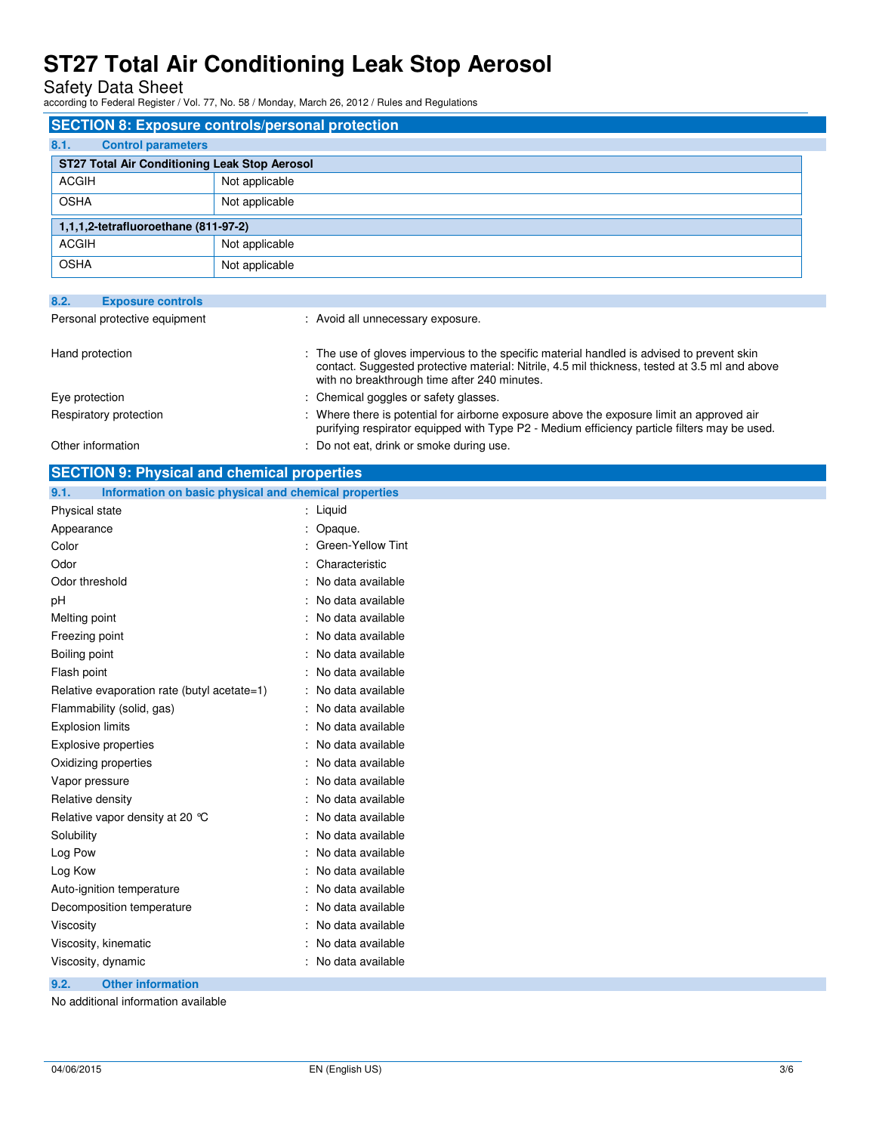Safety Data Sheet according to Federal Register / Vol. 77, No. 58 / Monday, March 26, 2012 / Rules and Regulations

| <b>SECTION 8: Exposure controls/personal protection</b> |                |  |
|---------------------------------------------------------|----------------|--|
| 8.1.<br><b>Control parameters</b>                       |                |  |
| ST27 Total Air Conditioning Leak Stop Aerosol           |                |  |
| <b>ACGIH</b>                                            | Not applicable |  |
| <b>OSHA</b>                                             | Not applicable |  |
| 1,1,1,2-tetrafluoroethane (811-97-2)                    |                |  |
| <b>ACGIH</b>                                            | Not applicable |  |
| <b>OSHA</b>                                             | Not applicable |  |
|                                                         |                |  |
| 82<br><b>Exposure controls</b>                          |                |  |

| ----<br>$-$                   |                                                                                                                                                                                                                                              |  |
|-------------------------------|----------------------------------------------------------------------------------------------------------------------------------------------------------------------------------------------------------------------------------------------|--|
| Personal protective equipment | : Avoid all unnecessary exposure.                                                                                                                                                                                                            |  |
| Hand protection               | : The use of gloves impervious to the specific material handled is advised to prevent skin<br>contact. Suggested protective material: Nitrile, 4.5 mil thickness, tested at 3.5 ml and above<br>with no breakthrough time after 240 minutes. |  |
| Eye protection                | : Chemical goggles or safety glasses.                                                                                                                                                                                                        |  |
| Respiratory protection        | Where there is potential for airborne exposure above the exposure limit an approved air<br>purifying respirator equipped with Type P2 - Medium efficiency particle filters may be used.                                                      |  |
| Other information             | : Do not eat, drink or smoke during use.                                                                                                                                                                                                     |  |
|                               |                                                                                                                                                                                                                                              |  |

| <b>SECTION 9: Physical and chemical properties</b>    |  |  |
|-------------------------------------------------------|--|--|
| Information on basic physical and chemical properties |  |  |
| : Liquid                                              |  |  |
| Opaque.                                               |  |  |
| Green-Yellow Tint                                     |  |  |
| Characteristic                                        |  |  |
| No data available                                     |  |  |
| No data available                                     |  |  |
| No data available                                     |  |  |
| No data available                                     |  |  |
| No data available                                     |  |  |
| No data available                                     |  |  |
| No data available                                     |  |  |
| No data available                                     |  |  |
| No data available                                     |  |  |
| No data available                                     |  |  |
| No data available                                     |  |  |
| No data available                                     |  |  |
| No data available                                     |  |  |
| No data available                                     |  |  |
| No data available                                     |  |  |
| No data available                                     |  |  |
| No data available                                     |  |  |
| No data available                                     |  |  |
| No data available                                     |  |  |
| No data available                                     |  |  |
| No data available                                     |  |  |
| : No data available                                   |  |  |
|                                                       |  |  |
|                                                       |  |  |

No additional information available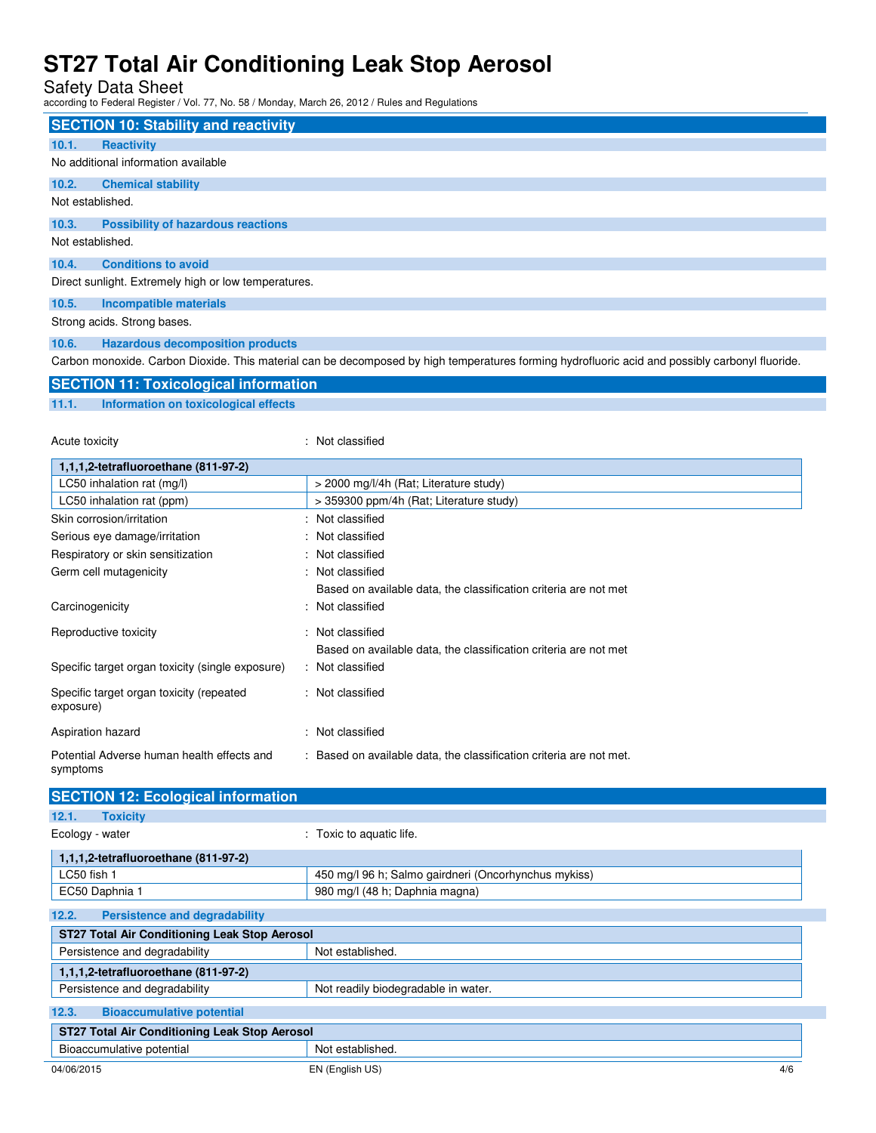Safety Data Sheet according to Federal Register / Vol. 77, No. 58 / Monday, March 26, 2012 / Rules and Regulations

Acute toxicity **in the case of the contract of the contract of the contract of the contract of the contract of the contract of the contract of the contract of the contract of the contract of the contract of the contract of** 

|                  | <b>SECTION 10: Stability and reactivity</b>                                                                                                     |
|------------------|-------------------------------------------------------------------------------------------------------------------------------------------------|
| 10.1.            | <b>Reactivity</b>                                                                                                                               |
|                  | No additional information available                                                                                                             |
| 10.2.            | <b>Chemical stability</b>                                                                                                                       |
| Not established. |                                                                                                                                                 |
| 10.3.            | <b>Possibility of hazardous reactions</b>                                                                                                       |
| Not established. |                                                                                                                                                 |
| 10.4.            | <b>Conditions to avoid</b>                                                                                                                      |
|                  | Direct sunlight. Extremely high or low temperatures.                                                                                            |
| 10.5.            | <b>Incompatible materials</b>                                                                                                                   |
|                  | Strong acids. Strong bases.                                                                                                                     |
| 10.6.            | <b>Hazardous decomposition products</b>                                                                                                         |
|                  | Carbon monoxide. Carbon Dioxide. This material can be decomposed by high temperatures forming hydrofluoric acid and possibly carbonyl fluoride. |
|                  | <b>SECTION 11: Toxicological information</b>                                                                                                    |
| 11.1.            | Information on toxicological effects                                                                                                            |

| 1,1,1,2-tetrafluoroethane (811-97-2)                   |                                                                     |
|--------------------------------------------------------|---------------------------------------------------------------------|
| LC50 inhalation rat (mg/l)                             | > 2000 mg/l/4h (Rat; Literature study)                              |
| LC50 inhalation rat (ppm)                              | > 359300 ppm/4h (Rat; Literature study)                             |
| Skin corrosion/irritation                              | : Not classified                                                    |
| Serious eye damage/irritation                          | : Not classified                                                    |
| Respiratory or skin sensitization                      | : Not classified                                                    |
| Germ cell mutagenicity                                 | : Not classified                                                    |
|                                                        | Based on available data, the classification criteria are not met    |
| Carcinogenicity                                        | : Not classified                                                    |
| Reproductive toxicity                                  | : Not classified                                                    |
|                                                        | Based on available data, the classification criteria are not met    |
| Specific target organ toxicity (single exposure)       | : Not classified                                                    |
| Specific target organ toxicity (repeated<br>exposure)  | : Not classified                                                    |
| Aspiration hazard                                      | : Not classified                                                    |
| Potential Adverse human health effects and<br>symptoms | : Based on available data, the classification criteria are not met. |

| <b>SECTION 12: Ecological information</b>            |                                                      |
|------------------------------------------------------|------------------------------------------------------|
| 12.1.<br><b>Toxicity</b>                             |                                                      |
| Ecology - water                                      | : Toxic to aquatic life.                             |
| 1,1,1,2-tetrafluoroethane (811-97-2)                 |                                                      |
| LC50 fish 1                                          | 450 mg/l 96 h; Salmo gairdneri (Oncorhynchus mykiss) |
| EC50 Daphnia 1                                       | 980 mg/l (48 h; Daphnia magna)                       |
| 12.2.<br><b>Persistence and degradability</b>        |                                                      |
| <b>ST27 Total Air Conditioning Leak Stop Aerosol</b> |                                                      |
| Persistence and degradability                        | Not established.                                     |
| 1,1,1,2-tetrafluoroethane (811-97-2)                 |                                                      |
| Persistence and degradability                        | Not readily biodegradable in water.                  |
| 12.3.<br><b>Bioaccumulative potential</b>            |                                                      |
| <b>ST27 Total Air Conditioning Leak Stop Aerosol</b> |                                                      |
| Bioaccumulative potential                            | Not established.                                     |
| 04/06/2015                                           | EN (English US)<br>4/6                               |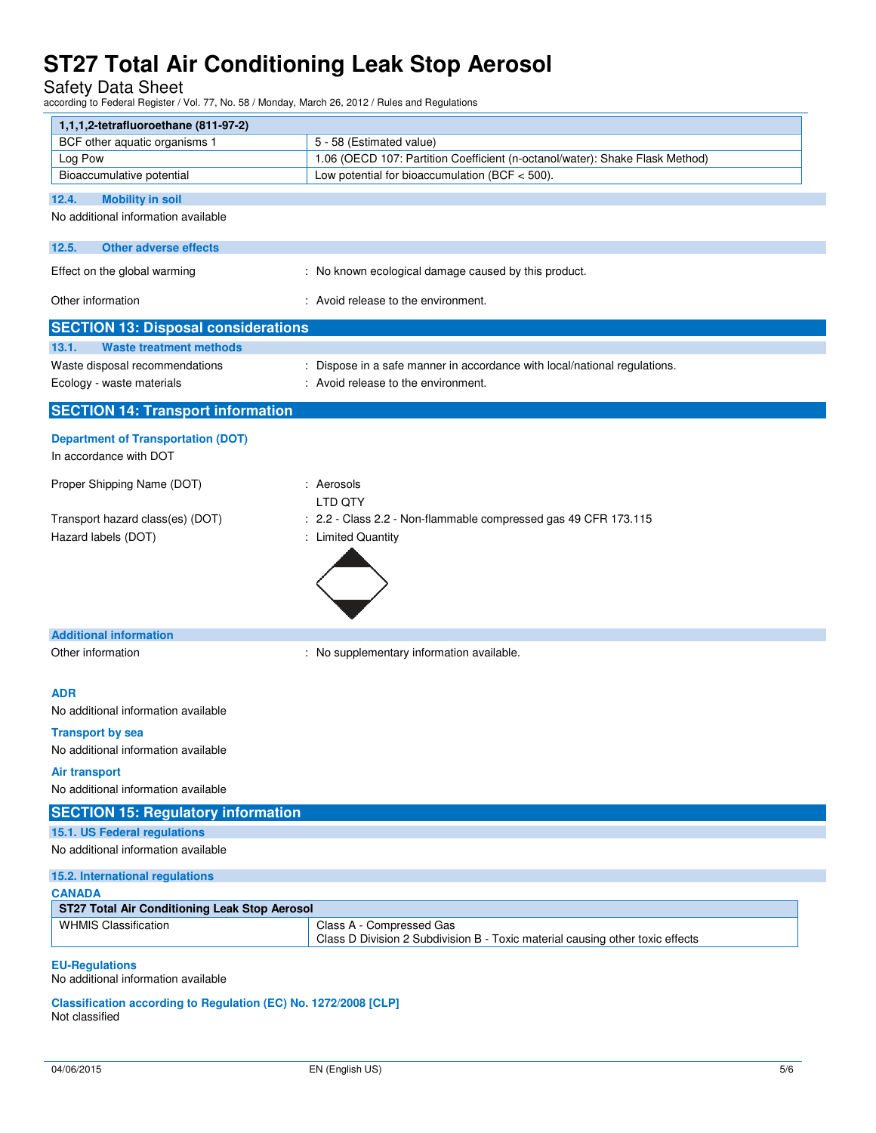Safety Data Sheet according to Federal Register / Vol. 77, No. 58 / Monday, March 26, 2012 / Rules and Regulations

| 1,1,1,2-tetrafluoroethane (811-97-2)                                              |                                                                               |
|-----------------------------------------------------------------------------------|-------------------------------------------------------------------------------|
| BCF other aquatic organisms 1                                                     | 5 - 58 (Estimated value)                                                      |
| Log Pow                                                                           | 1.06 (OECD 107: Partition Coefficient (n-octanol/water): Shake Flask Method)  |
| Bioaccumulative potential                                                         | Low potential for bioaccumulation (BCF $<$ 500).                              |
|                                                                                   |                                                                               |
| 12.4.<br><b>Mobility in soil</b><br>No additional information available           |                                                                               |
|                                                                                   |                                                                               |
| <b>Other adverse effects</b><br>12.5.                                             |                                                                               |
| Effect on the global warming                                                      | : No known ecological damage caused by this product.                          |
| Other information                                                                 | : Avoid release to the environment.                                           |
| <b>SECTION 13: Disposal considerations</b>                                        |                                                                               |
| <b>Waste treatment methods</b><br>13.1.                                           |                                                                               |
| Waste disposal recommendations                                                    | : Dispose in a safe manner in accordance with local/national regulations.     |
| Ecology - waste materials                                                         | : Avoid release to the environment.                                           |
| <b>SECTION 14: Transport information</b>                                          |                                                                               |
|                                                                                   |                                                                               |
| <b>Department of Transportation (DOT)</b>                                         |                                                                               |
| In accordance with DOT                                                            |                                                                               |
| Proper Shipping Name (DOT)                                                        | : Aerosols                                                                    |
|                                                                                   | LTD QTY                                                                       |
| Transport hazard class(es) (DOT)                                                  | : 2.2 - Class 2.2 - Non-flammable compressed gas 49 CFR 173.115               |
| Hazard labels (DOT)                                                               | : Limited Quantity                                                            |
|                                                                                   |                                                                               |
|                                                                                   |                                                                               |
|                                                                                   |                                                                               |
|                                                                                   |                                                                               |
| <b>Additional information</b>                                                     |                                                                               |
| Other information                                                                 | : No supplementary information available.                                     |
|                                                                                   |                                                                               |
| <b>ADR</b>                                                                        |                                                                               |
| No additional information available                                               |                                                                               |
|                                                                                   |                                                                               |
| <b>Transport by sea</b>                                                           |                                                                               |
| No additional information available                                               |                                                                               |
| Air transport                                                                     |                                                                               |
| No additional information available                                               |                                                                               |
| <b>SECTION 15: Regulatory information</b>                                         |                                                                               |
| 15.1. US Federal regulations                                                      |                                                                               |
| No additional information available                                               |                                                                               |
| 15.2. International regulations                                                   |                                                                               |
| <b>CANADA</b>                                                                     |                                                                               |
| ST27 Total Air Conditioning Leak Stop Aerosol                                     |                                                                               |
| <b>WHMIS Classification</b>                                                       | Class A - Compressed Gas                                                      |
|                                                                                   | Class D Division 2 Subdivision B - Toxic material causing other toxic effects |
| <b>EU-Regulations</b>                                                             |                                                                               |
| No additional information available                                               |                                                                               |
| Classification according to Regulation (EC) No. 1272/2008 [CLP]<br>Not classified |                                                                               |